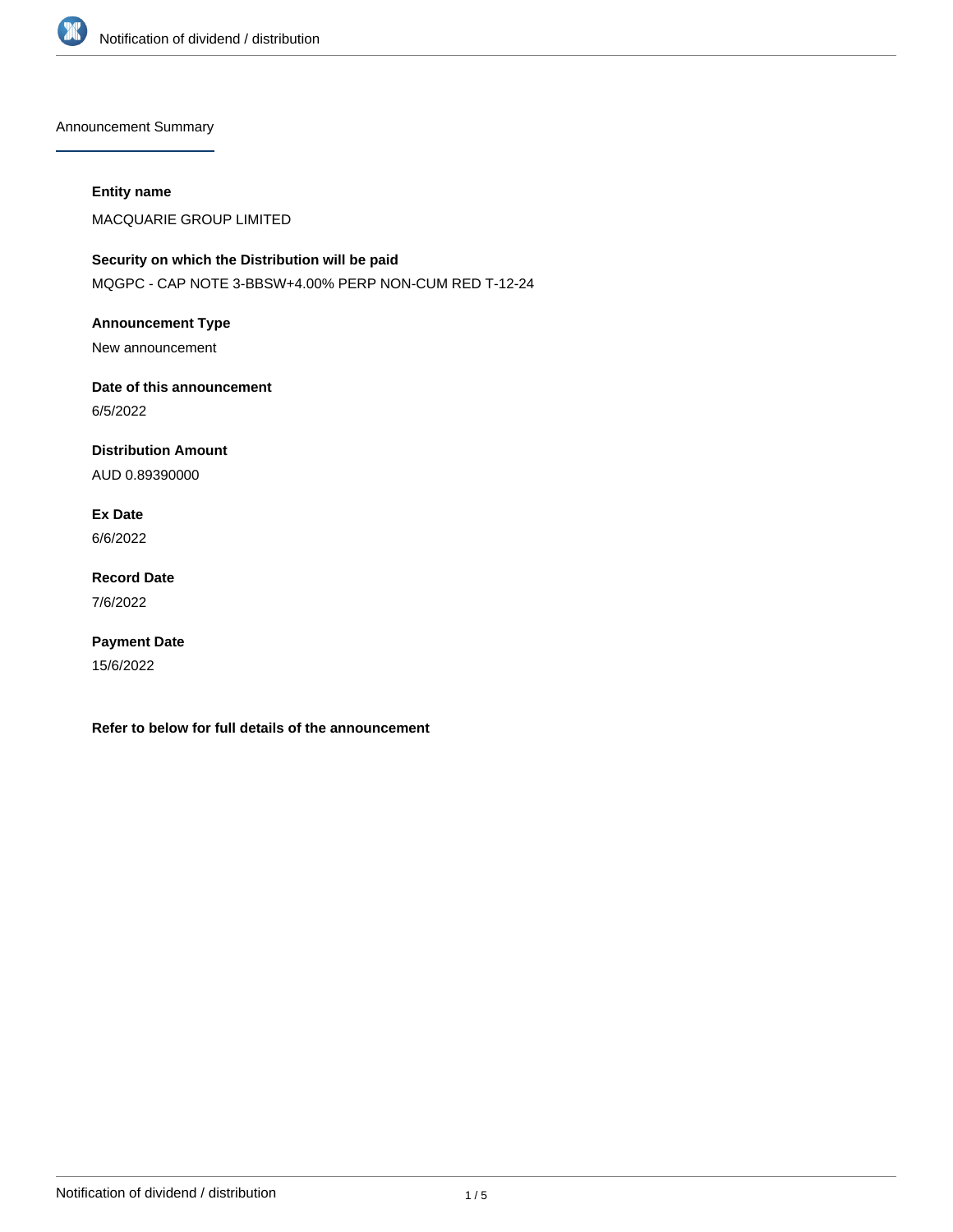

Announcement Summary

#### **Entity name**

MACQUARIE GROUP LIMITED

## **Security on which the Distribution will be paid** MQGPC - CAP NOTE 3-BBSW+4.00% PERP NON-CUM RED T-12-24

**Announcement Type**

New announcement

# **Date of this announcement**

6/5/2022

# **Distribution Amount**

AUD 0.89390000

# **Ex Date**

6/6/2022

## **Record Date** 7/6/2022

# **Payment Date**

15/6/2022

**Refer to below for full details of the announcement**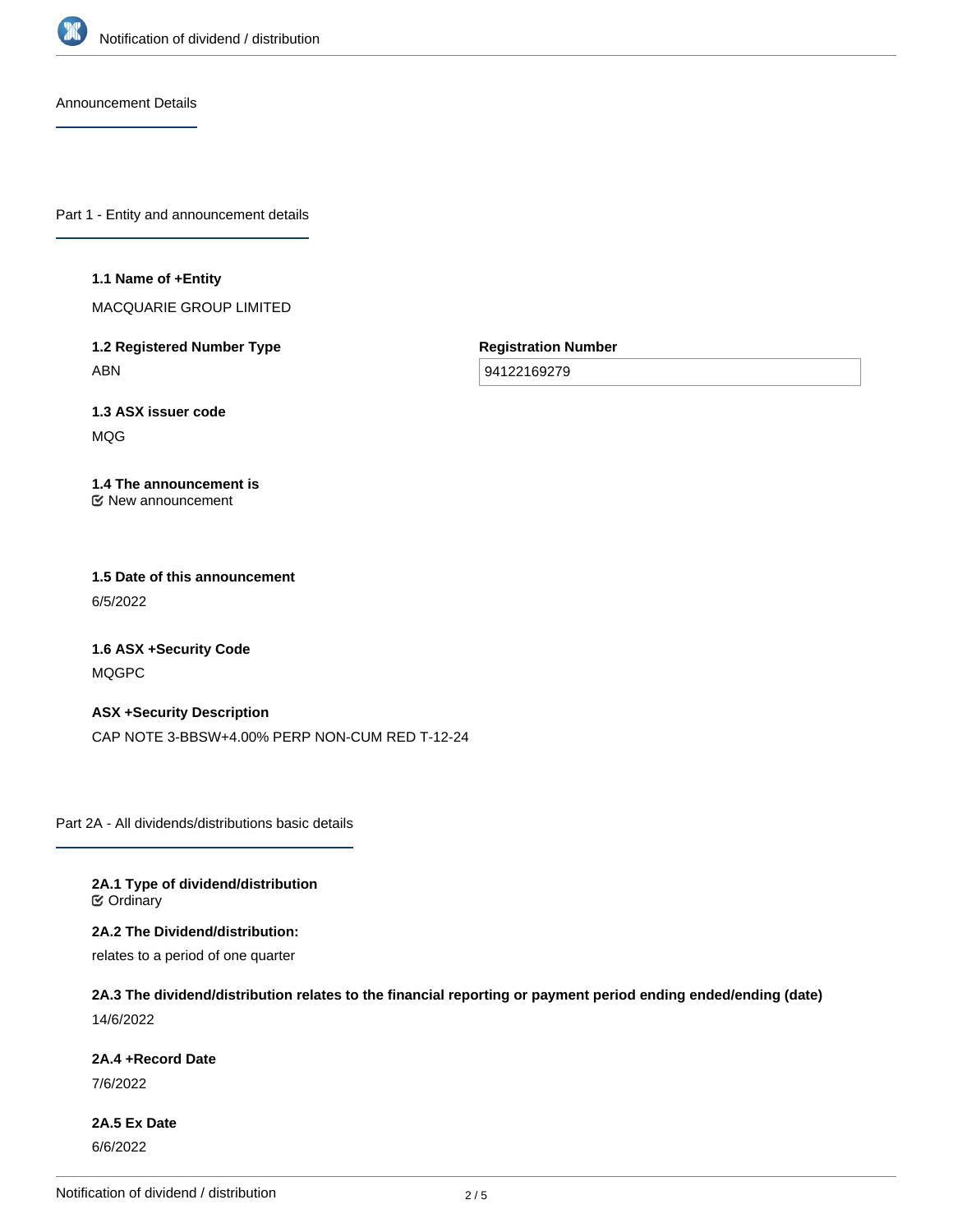

Announcement Details

Part 1 - Entity and announcement details

#### **1.1 Name of +Entity**

MACQUARIE GROUP LIMITED

**1.2 Registered Number Type** ABN

**Registration Number**

94122169279

**1.3 ASX issuer code** MQG

#### **1.4 The announcement is** New announcement

## **1.5 Date of this announcement** 6/5/2022

**1.6 ASX +Security Code** MQGPC

**ASX +Security Description** CAP NOTE 3-BBSW+4.00% PERP NON-CUM RED T-12-24

Part 2A - All dividends/distributions basic details

**2A.1 Type of dividend/distribution C** Ordinary

**2A.2 The Dividend/distribution:**

relates to a period of one quarter

**2A.3 The dividend/distribution relates to the financial reporting or payment period ending ended/ending (date)** 14/6/2022

#### **2A.4 +Record Date**

7/6/2022

**2A.5 Ex Date** 6/6/2022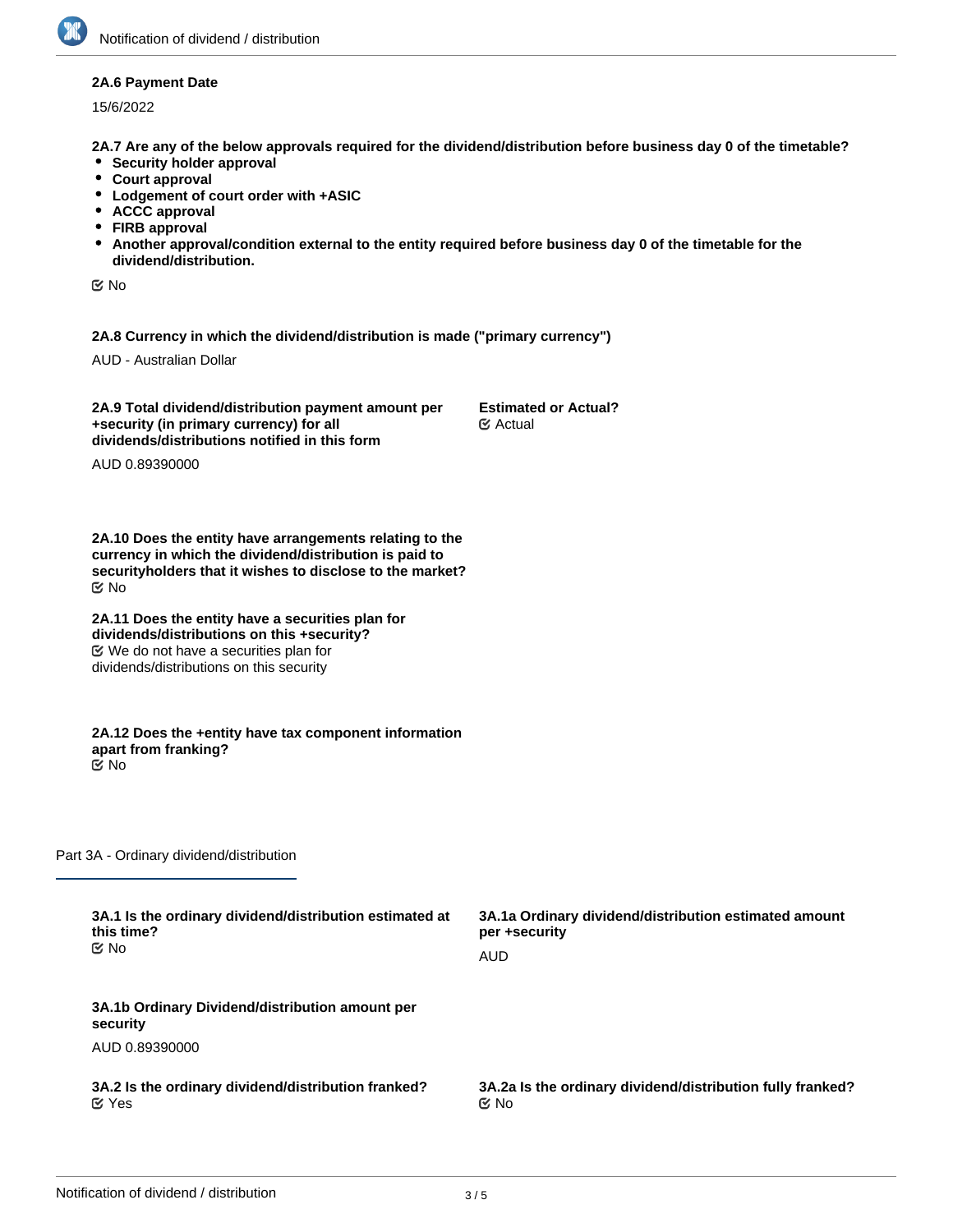#### **2A.6 Payment Date**

15/6/2022

**2A.7 Are any of the below approvals required for the dividend/distribution before business day 0 of the timetable?**

- **•** Security holder approval
- **Court approval**
- **Lodgement of court order with +ASIC**
- **ACCC approval**
- **FIRB approval**
- **Another approval/condition external to the entity required before business day 0 of the timetable for the dividend/distribution.**

No

**2A.8 Currency in which the dividend/distribution is made ("primary currency")**

AUD - Australian Dollar

**2A.9 Total dividend/distribution payment amount per +security (in primary currency) for all dividends/distributions notified in this form**

**Estimated or Actual?** Actual

AUD 0.89390000

**2A.10 Does the entity have arrangements relating to the currency in which the dividend/distribution is paid to securityholders that it wishes to disclose to the market?** No

**2A.11 Does the entity have a securities plan for dividends/distributions on this +security?** We do not have a securities plan for dividends/distributions on this security

**2A.12 Does the +entity have tax component information apart from franking?** No

Part 3A - Ordinary dividend/distribution

| 3A.1 Is the ordinary dividend/distribution estimated at<br>this time?<br>tiX No | 3A.1a Ordinary dividend/distribution estimated amount<br>per +security |  |
|---------------------------------------------------------------------------------|------------------------------------------------------------------------|--|
|                                                                                 | AUD                                                                    |  |
| 3A.1b Ordinary Dividend/distribution amount per<br>security                     |                                                                        |  |
| AUD 0.89390000                                                                  |                                                                        |  |
| 3A.2 Is the ordinary dividend/distribution franked?<br>$\alpha$ Yes             | 3A.2a Is the ordinary dividend/distribution fully franked?<br>় No     |  |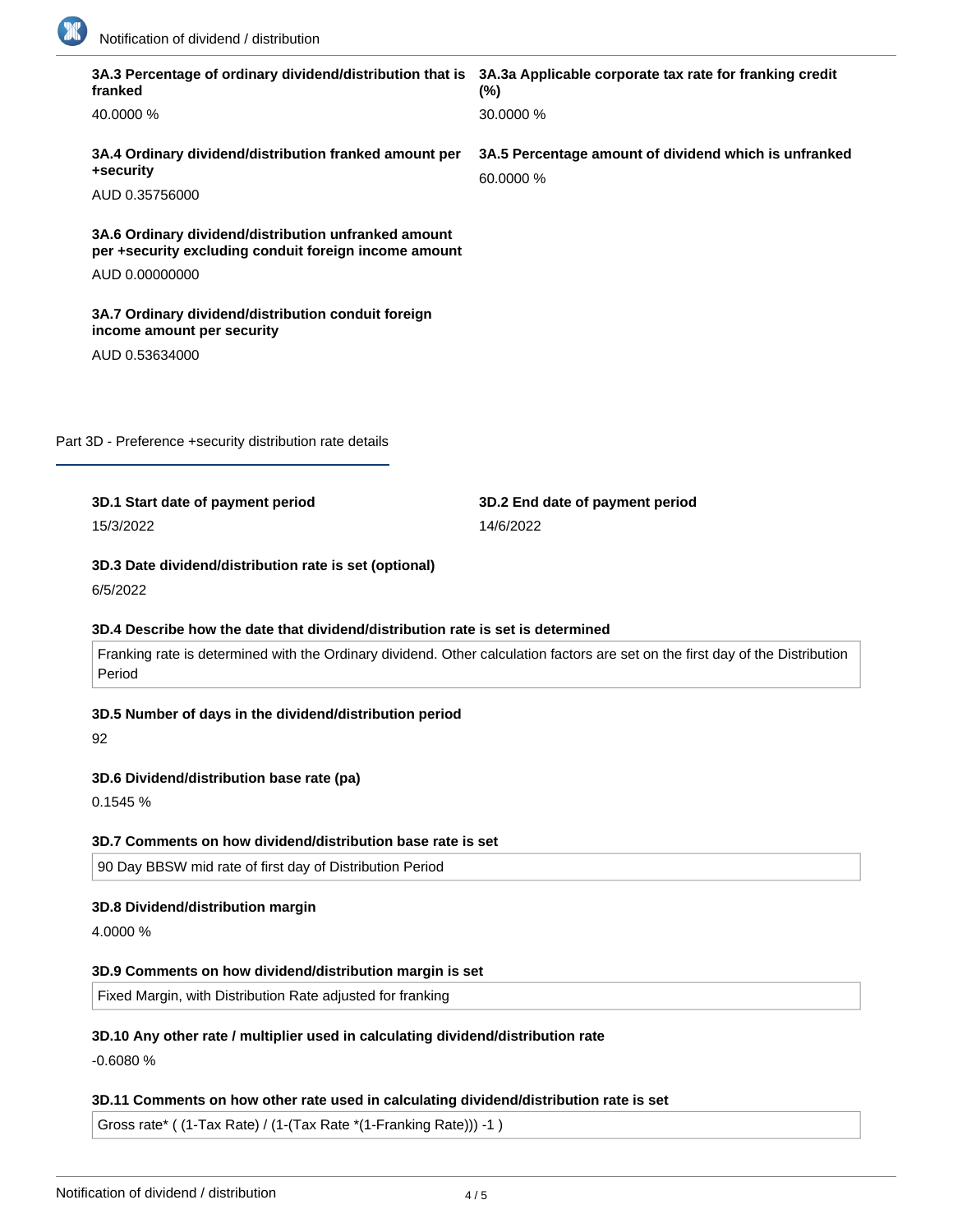

|    | 3A.3 Percentage of ordinary dividend/distribution that is 3A.3a Applicable corporate tax rate for franking credit<br>franked | $(\%)$                                                                                                                         |
|----|------------------------------------------------------------------------------------------------------------------------------|--------------------------------------------------------------------------------------------------------------------------------|
|    | 40.0000 %                                                                                                                    | 30.0000 %                                                                                                                      |
|    | 3A.4 Ordinary dividend/distribution franked amount per<br>+security                                                          | 3A.5 Percentage amount of dividend which is unfranked<br>60.0000 %                                                             |
|    | AUD 0.35756000                                                                                                               |                                                                                                                                |
|    | 3A.6 Ordinary dividend/distribution unfranked amount<br>per +security excluding conduit foreign income amount                |                                                                                                                                |
|    | AUD 0.00000000                                                                                                               |                                                                                                                                |
|    | 3A.7 Ordinary dividend/distribution conduit foreign<br>income amount per security                                            |                                                                                                                                |
|    | AUD 0.53634000                                                                                                               |                                                                                                                                |
|    |                                                                                                                              |                                                                                                                                |
|    |                                                                                                                              |                                                                                                                                |
|    | Part 3D - Preference +security distribution rate details                                                                     |                                                                                                                                |
|    |                                                                                                                              |                                                                                                                                |
|    |                                                                                                                              |                                                                                                                                |
|    | 3D.1 Start date of payment period<br>15/3/2022<br>3D.3 Date dividend/distribution rate is set (optional)<br>6/5/2022         | 3D.2 End date of payment period<br>14/6/2022                                                                                   |
|    | 3D.4 Describe how the date that dividend/distribution rate is set is determined                                              |                                                                                                                                |
|    | Period                                                                                                                       | Franking rate is determined with the Ordinary dividend. Other calculation factors are set on the first day of the Distribution |
| 92 | 3D.5 Number of days in the dividend/distribution period                                                                      |                                                                                                                                |
|    |                                                                                                                              |                                                                                                                                |
|    | 3D.6 Dividend/distribution base rate (pa)<br>0.1545 %                                                                        |                                                                                                                                |
|    |                                                                                                                              |                                                                                                                                |
|    | 3D.7 Comments on how dividend/distribution base rate is set                                                                  |                                                                                                                                |
|    | 90 Day BBSW mid rate of first day of Distribution Period                                                                     |                                                                                                                                |
|    | 3D.8 Dividend/distribution margin                                                                                            |                                                                                                                                |
|    | 4.0000 %                                                                                                                     |                                                                                                                                |
|    | 3D.9 Comments on how dividend/distribution margin is set                                                                     |                                                                                                                                |

## **3D.11 Comments on how other rate used in calculating dividend/distribution rate is set**

| Gross rate* ( (1-Tax Rate) / (1-(Tax Rate *(1-Franking Rate))) -1 ) |  |  |
|---------------------------------------------------------------------|--|--|
|---------------------------------------------------------------------|--|--|

**3D.12 Total dividend/distribution rate for the period (pa)**